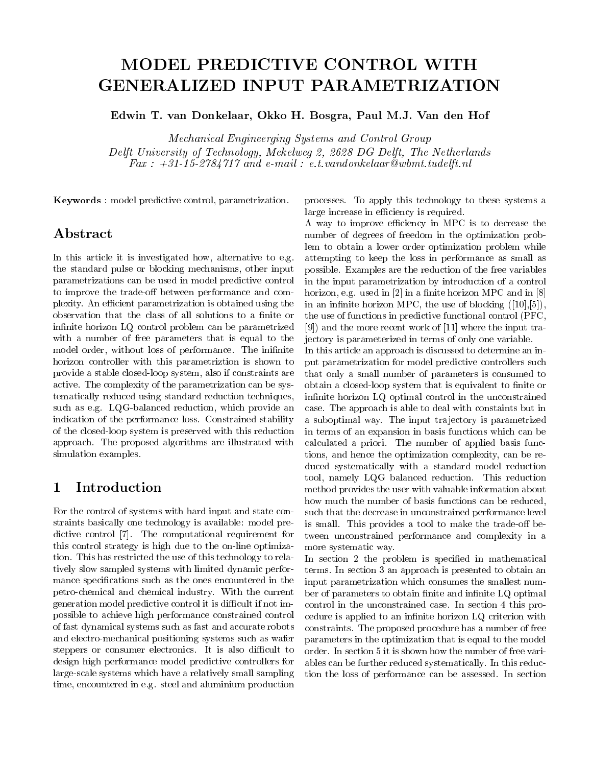# MODEL PREDICTIVE CONTROL WITH

Edwin T. van Donkelaar, Okko H. Bosgra, Paul M.J. Van den Hof

Mechanical Engineerging Systems and Control Group Delft University of Technology, Mekelweg 2, <sup>2628</sup> DG Delft, The Netherlands Fax : +31-15-2784717 and e-mail : e.t.vandonkelaar@wbmt.tudelft.nl

Keywords : model predictive control, parametrization.

# Abstract

In this article it is investigated how, alternative to e.g. the standard pulse or blocking mechanisms, other input parametrizations can be used in model predictive control to improve the trade-off between performance and complexity. An efficient parametrization is obtained using the observation that the class of all solutions to a finite or infinite horizon LQ control problem can be parametrized with a number of free parameters that is equal to the model order, without loss of performance. The inifinite horizon controller with this parametriztion is shown to provide a stable closed-loop system, also if constraints are active. The complexity of the parametrization can be systematically reduced using standard reduction techniques, such as e.g. LQG-balanced reduction, which provide an indication of the performance loss. Constrained stability of the closed-loop system is preserved with this reduction approach. The proposed algorithms are illustrated with simulation examples.

#### Introduction 1

For the control of systems with hard input and state constraints basically one technology is available: model predictive control [7]. The computational requirement for this control strategy is high due to the on-line optimization. This has restricted the use of this technology to relatively slow sampled systems with limited dynamic performance specications such as the ones encountered in the petro-chemical and chemical industry. With the current generation model predictive control it is difficult if not impossible to achieve high performance constrained control of fast dynamical systems such as fast and accurate robots and electro-mechanical positioning systems such as wafer steppers or consumer electronics. It is also difficult to design high performance model predictive controllers for large-scale systems which have a relatively small sampling time, encountered in e.g. steel and aluminium production

processes. To apply this technology to these systems a large increase in efficiency is required.

A way to improve efficiency in MPC is to decrease the number of degrees of freedom in the optimization problem to obtain a lower order optimization problem while attempting to keep the loss in performance as small as possible. Examples are the reduction of the free variables in the input parametrization by introduction of a control horizon, e.g. used in  $[2]$  in a finite horizon MPC and in  $[8]$ in an infinite horizon MPC, the use of blocking  $([10],[5])$ , the use of functions in predictive functional control (PFC, [9]) and the more recent work of [11] where the input trajectory is parameterized in terms of only one variable.

In this article an approach is discussed to determine an input parametrization for model predictive controllers such that only a small number of parameters is consumed to obtain a closed-loop system that is equivalent to finite or infinite horizon LQ optimal control in the unconstrained case. The approach is able to deal with constaints but in a suboptimal way. The input tra jectory is parametrized in terms of an expansion in basis functions which can be calculated a priori. The number of applied basis functions, and hence the optimization complexity, can be reduced systematically with a standard model reduction tool, namely LQG balanced reduction. This reduction method provides the user with valuable information about how much the number of basis functions can be reduced, such that the decrease in unconstrained performance level is small. This provides a tool to make the trade-off between unconstrained performance and complexity in a more systematic way.

In section 2 the problem is specified in mathematical terms. In section 3 an approach is presented to obtain an input parametrization which consumes the smallest number of parameters to obtain finite and infinite LQ optimal control in the unconstrained case. In section 4 this procedure is applied to an infinite horizon LQ criterion with constraints. The proposed procedure has a number of free parameters in the optimization that is equal to the model order. In section 5 it is shown how the number of free variables can be further reduced systematically. In this reduction the loss of performance can be assessed. In section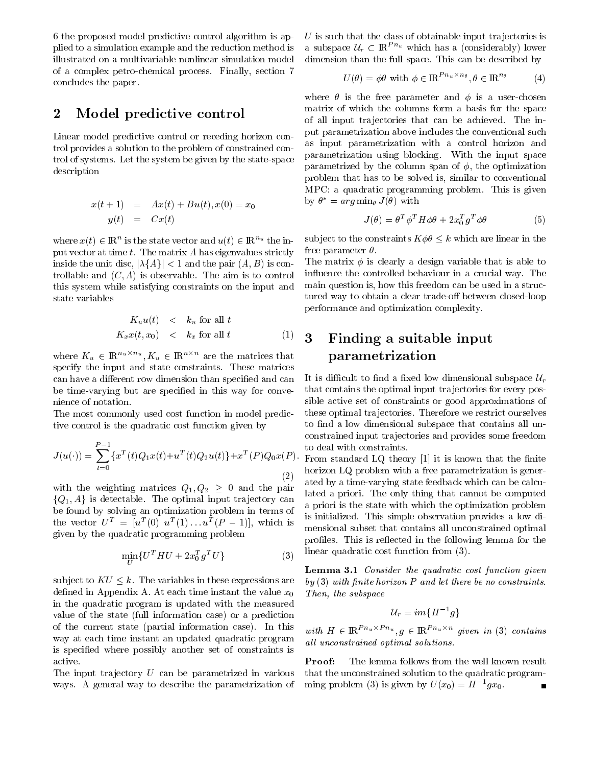6 the proposed model predictive control algorithm is applied to a simulation example and the reduction method is illustrated on a multivariable nonlinear simulation model of a complex petro-chemical process. Finally, section 7 concludes the paper.

#### Model predictive control  $\overline{2}$

Linear model predictive control or receding horizon control provides a solution to the problem of constrained control of systems. Let the system be given by the state-space description

$$
x(t+1) = Ax(t) + Bu(t), x(0) = x_0
$$
  

$$
y(t) = Cx(t)
$$

where  $x(t) \in \mathbb{R}^n$  is the state vector and  $u(t) \in \mathbb{R}^{n}$  the input vector at time  $t$ . The matrix  $A$  has eigenvalues strictly inside the unit disc,  $|\lambda{A}| < 1$  and the pair  $(A, B)$  is controllable and  $(C, A)$  is observable. The aim is to control this system while satisfying constraints on the input and state variables

$$
K_u u(t) < k_u \text{ for all } t
$$
\n
$$
K_x x(t, x_0) < k_x \text{ for all } t
$$
\n
$$
(1) \quad \mathbf{3}
$$

where  $K_u \in \mathbb{R}^{n_u \times n_u}$ ,  $K_u \in \mathbb{R}^{n_u \times n_u}$  are the matrices that specify the input and state constraints. These matrices can have a different row dimension than specified and can be time-varying but are specied in this way for convenience of notation.

The most commonly used cost function in model predictive control is the quadratic cost function given by

$$
J(u(\cdot)) = \sum_{t=0}^{P-1} \{x^T(t)Q_1x(t) + u^T(t)Q_2u(t)\} + x^T(P)Q_0x(P)
$$
\n(2)

with the weighting matrices  $Q_1, Q_2 \geq 0$  and the pair  $\{Q_1, A\}$  is detectable. The optimal input trajectory can be found by solving an optimization problem in terms of the vector  $U^{\dagger} = |u^{\dagger}(0)| u^{\dagger}(1) \dots u^{\dagger}(P-1)|$ , which is given by the quadratic programming problem

$$
\min_{U} \{ U^{T} H U + 2x_{0}^{T} g^{T} U \}
$$
 (3) line

subject to  $KU \leq k$ . The variables in these expressions are defined in Appendix A. At each time instant the value  $x_0$ in the quadratic program is updated with the measured value of the state (full information case) or a prediction of the current state (partial information case). In this way at each time instant an updated quadratic program is specied where possibly another set of constraints is active.

The input trajectory  $U$  can be parametrized in various ways. A general way to describe the parametrization of

 $U$  is such that the class of obtainable input trajectories is a subspace  $\mathcal{U}_r \subset \mathbb{R}^{Pn_u}$  which has a (considerably) lower dimension than the full space. This can be described by

$$
U(\theta) = \phi \theta \text{ with } \phi \in \mathbb{R}^{Pn_u \times n_\theta}, \theta \in \mathbb{R}^{n_\theta} \tag{4}
$$

where  $\theta$  is the free parameter and  $\phi$  is a user-chosen matrix of which the columns form a basis for the space of all input tra jectories that can be achieved. The input parametrization above includes the conventional such as input parametrization with a control horizon and parametrization using blocking. With the input space parametrized by the column span of  $\phi$ , the optimization problem that has to be solved is, similar to conventional MPC: a quadratic programming problem. This is given  $\alpha_{\rm F} = \alpha_{\rm F} g \min_{\theta} J(\theta)$  with

$$
J(\theta) = \theta^T \phi^T H \phi \theta + 2x_0^T g^T \phi \theta \tag{5}
$$

subject to the constraints  $K \phi \theta \leq k$  which are linear in the free parameter  $\theta$ .

The matrix  $\phi$  is clearly a design variable that is able to in
uence the controlled behaviour in a crucial way. The main question is, how this freedom can be used in a structured way to obtain a clear trade-off between closed-loop performance and optimization complexity.

# Finding a suitable input parametrization

It is difficult to find a fixed low dimensional subspace  $\mathcal{U}_r$ that contains the optimal input tra jectories for every possible active set of constraints or good approximations of these optimal tra jectories. Therefore we restrict ourselves to find a low dimensional subspace that contains all unconstrained input tra jectories and provides some freedom to deal with constraints.

 $\sim$   $\sim$   $\sim$   $\sim$   $\sim$  From standard EQ theory [1] it is known that the nime  $\zeta$  ated by a time-varying state feedback which can be calcuhorizon LQ problem with a free parametrization is generlated a priori. The only thing that cannot be computed a priori is the state with which the optimization problem is initialized. This simple observation provides a low dimensional subset that contains all unconstrained optimal profiles. This is reflected in the following lemma for the linear quadratic cost function from (3).

> Lemma 3.1 Consider the quadratic cost function given  $by (3)$  with finite horizon P and let there be no constraints. Then, the subspace

$$
\mathcal{U}_r = im\{H^{-1}g\}
$$

with  $H \in \mathbb{R}^{P n_u \times P n_u}, g \in \mathbb{R}^{P n_u \times n}$  given in (3) contains all unconstrained optimal solutions.

The lemma follows from the well known result Proof: that the unconstrained solution to the quadratic programming problem (3) is given by  $U(x_0) = H^{-1}gx_0$ .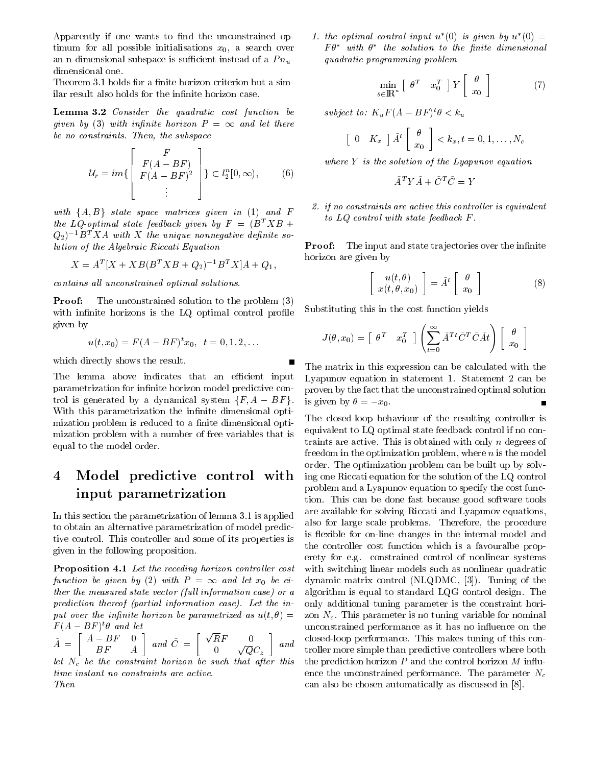Apparently if one wants to find the unconstrained optimum for all possible initialisations  $x_0$ , a search over an n-dimensional subspace is sufficient instead of a  $P_{u}$ dimensional one.

Theorem 3.1 holds for a finite horizon criterion but a similar result also holds for the infinite horizon case.

Lemma 3.2 Consider the quadratic cost function be given by (3) with injuries herein P = 1 and let there is the let be no constraints. Then, the subspace

$$
\mathcal{U}_r = im\left\{ \begin{bmatrix} F \\ F(A - BF) \\ F(A - BF)^2 \\ \vdots \end{bmatrix} \right\} \subset l_2^n[0, \infty), \quad (6)
$$

with  $\{A, B\}$  state space matrices given in (1) and F the LQ-optimal state feedback given by  $F = (B^T X B +$  $(Q_2)^{-1}B^T X A$  with X the unique nonnegative definite solution of the Algebraic Riccati Equation

$$
X = A^T [X + XB(B^T X B + Q_2)^{-1} B^T X] A + Q_1,
$$

contains all unconstrained optimal solutions.

**Proof:** The unconstrained solution to the problem  $(3)$ with infinite horizons is the  $LQ$  optimal control profile given by

$$
u(t, x_0) = F(A - BF)^t x_0, \quad t = 0, 1, 2, \dots
$$

which directly shows the result.

The lemma above indicates that an efficient input parametrization for infinite horizon model predictive control is generated by a dynamical system  $\{F, A - BF\}$ . With this parametrization the infinite dimensional optimization problem is reduced to a finite dimensional optimization problem with a number of free variables that is equal to the model order.

### $\overline{4}$ Model predictive control with input parametrization

In this section the parametrization of lemma 3.1 is applied to obtain an alternative parametrization of model predictive control. This controller and some of its properties is given in the following proposition.

Proposition 4.1 Let the receding horizon controller cost function be given by (2) with P = <sup>1</sup> and let x0 be either the measured state vector (full information case) or  $a$ prediction thereof (partial information case). Let the input over the infinite horizon be parametrized as  $u(t, \theta) =$  $F(A = B F)$  of and let

 $A-1$   $\longrightarrow$  $\begin{bmatrix} A-BF & 0 \end{bmatrix}$  $\blacksquare$  and  $\blacksquare$  and  $\blacksquare$   $\overline{u}$  and  $\overline{u}$  = 1 =  $\overline{u}$  p  $\begin{array}{cc} \overline{R}F & 0 \ 0 & \sqrt{Q}C_z \end{array}$  and  $\begin{array}{cc} \text{cl} \ \text{tr} \end{array}$ let  $\mathcal{L}$  . The constraint horizon be such that after the constraint horizon be such that after this such that after this such that after this such that after the such that after the such that after the such that after time instant no constraints are active. Then

1. the optimal control input  $u$  (0) is given by  $u$  (0)  $\equiv$  ${\bf r}$   ${\bf v}$  with  ${\bf v}$  and solution to the finite almensional ratio quadratic programming problem

$$
\min_{\theta \in \mathbb{R}^n} \left[ \begin{array}{cc} \theta^T & x_0^T \end{array} \right] Y \left[ \begin{array}{c} \theta \\ x_0 \end{array} \right] \tag{7}
$$

subject to:  $K_uF$  (A  $=$  BF )  $\sigma < K_u$ 

$$
\begin{bmatrix} 0 & K_x \end{bmatrix} \tilde{A}^t \begin{bmatrix} \theta \\ x_0 \end{bmatrix} < k_x, t = 0, 1, \dots, N_c
$$

where  $Y$  is the solution of the Lyapunov equation

$$
\tilde{A}^T Y \tilde{A} + \tilde{C}^T \tilde{C} = Y
$$

2. if no constraints are active this controller is equivalent to LQ control with state feedback F .

**Proof:** The input and state trajectories over the infinite horizon are given by

$$
\begin{bmatrix}\nu(t,\theta) \\
x(t,\theta,x_0)\end{bmatrix} = \tilde{A}^t \begin{bmatrix} \theta \\ x_0 \end{bmatrix}
$$
\n(8)

Substituting this in the cost function yields

$$
J(\theta,x_0) = \begin{bmatrix} \theta^T & x_0^T \end{bmatrix} \left( \sum_{t=0}^{\infty} \tilde{A}^{Tt} \tilde{C}^T \tilde{C} \tilde{A} t \right) \begin{bmatrix} \theta \\ x_0 \end{bmatrix}
$$

The matrix in this expression can be calculated with the Lyapunov equation in statement 1. Statement 2 can be proven by the fact that the unconstrained optimal solution is given by  $\theta = -x_0$ .

and troller more simple than predictive controllers where both The closed-loop behaviour of the resulting controller is equivalent to LQ optimal state feedback control if no contraints are active. This is obtained with only  $n$  degrees of freedom in the optimization problem, where  $n$  is the model order. The optimization problem can be built up by solving one Riccati equation for the solution of the LQ control problem and a Lyapunov equation to specify the cost function. This can be done fast because good software tools are available for solving Riccati and Lyapunov equations, also for large scale problems. Therefore, the procedure is flexible for on-line changes in the internal model and the controller cost function which is a favouralbe properety for e.g. constrained control of nonlinear systems with switching linear models such as nonlinear quadratic dynamic matrix control (NLQDMC, [3]). Tuning of the algorithm is equal to standard LQG control design. The only additional tuning parameter is the constraint horizon  $N_c$ . This parameter is no tuning variable for nominal unconstrained performance as it has no influence on the closed-loop performance. This makes tuning of this conthe prediction horizon  $P$  and the control horizon  $M$  influence the unconstrained performance. The parameter  $N_c$ can also be chosen automatically as discussed in [8].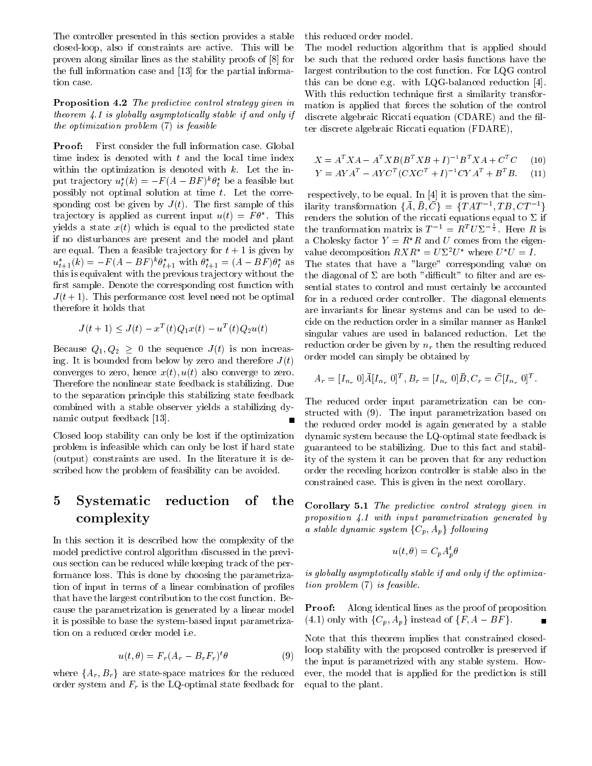The controller presented in this section provides a stable closed-loop, also if constraints are active. This will be proven along similar lines as the stability proofs of [8] for the full information case and [13] for the partial information case.

Proposition 4.2 The predictive control strategy given in theorem  $\angle$  1 is globally asymptotically stable if and only if the optimization problem (7) is feasible

Proof: First consider the full information case. Global time index is denoted with  $t$  and the local time index within the optimization is denoted with  $k$ . Let the input trajectory  $u_t(\kappa) = -F(A - B F)^{\kappa} \theta_t$  be a feasible but possibly not optimal solution at time t. Let the corresponding cost be given by  $J(t)$ . The first sample of this trajectory is applied as current input  $u(t) = F \dot{\theta}$ . This repr yields a state  $x(t)$  which is equal to the predicted state if no disturbances are present and the model and plant are equal. Then a feasible trajectory for  $t + 1$  is given by  $u_{t+1}(\kappa) = -F (A - BF)^{\kappa} \theta_{t+1}$  with  $\theta_{t+1} = (A - BF) \theta_t$  as T this is equivalent with the previous tra jectory without the first sample. Denote the corresponding cost function with  $J(t+1)$ . This performance cost level need not be optimal therefore it holds that

$$
J(t+1) \le J(t) - x^T(t)Q_1x(t) - u^T(t)Q_2u(t)
$$

Because  $Q_1, Q_2 \geq 0$  the sequence  $J(t)$  is non increasing. It is bounded from below by zero and therefore  $J(t)$ converges to zero, hence  $x(t)$ ,  $u(t)$  also converge to zero. Therefore the nonlinear state feedback is stabilizing. Due to the separation principle this stabilizing state feedback combined with a stable observer yields a stabilizing dynamic output feedback [13].

Closed loop stability can only be lost if the optimization problem is infeasible which can only be lost if hard state (output) constraints are used. In the literature it is described how the problem of feasibility can be avoided.

#### Systematic reduction of the  $\overline{5}$ of complexity

In this section it is described how the complexity of the model predictive control algorithm discussed in the previous section can be reduced while keeping track of the performance loss. This is done by choosing the parametrization of input in terms of a linear combination of profiles that have the largest contribution to the cost function. Because the parametrization is generated by a linear model it is possible to base the system-based input parametrization on a reduced order model i.e.

$$
u(t,\theta) = F_r(A_r - B_r F_r)^t \theta \tag{9}
$$

where  ${A_r, B_r}$  are state-space matrices for the reduced order system and Fr is the LQ-optimal state feedback for

this reduced order model.

The model reduction algorithm that is applied should be such that the reduced order basis functions have the largest contribution to the cost function. For LQG control this can be done e.g. with LQG-balanced reduction [4]. With this reduction technique first a similarity transformation is applied that forces the solution of the control discrete algebraic Riccati equation (CDARE) and the filter discrete algebraic Riccati equation (FDARE),

$$
X = A^T X A - A^T X B (B^T X B + I)^{-1} B^T X A + C^T C \tag{10}
$$

 $Y = AYA^- - AYC^{-}(CAC^{+} + I)^{-1}CYA^{-} + B^{-}B.$  (11)

The states that have a "large" corresponding value on respectively, to be equal. In [4] it is proven that the simmarity transformation  $\{A, D, C\} = \{IAI^{-1}, ID, CI^{-1}\}$ renders the solution of the riccati equations equal to  $\Sigma$  if the tranformation matrix is  $T^{-1} = R^T U \Sigma^{-\frac{1}{2}}$ . Here R is a Cholesky factor  $Y = R^*R$  and U comes from the eigenvalue decomposition  $RXR^* = U\Sigma^2 U^*$  where  $U^*U = I$ . the diagonal of  $\Sigma$  are both "difficult" to filter and are essential states to control and must certainly be accounted for in a reduced order controller. The diagonal elements are invariants for linear systems and can be used to decide on the reduction order in a similar manner as Hankel singular values are used in balanced reduction. Let the reduction order be given by nr then the resulting reduced order model can simply be obtained by

$$
A_r = [I_{n_r} \ 0] \bar{A} [I_{n_r} \ 0]^T, B_r = [I_{n_r} \ 0] \bar{B}, C_r = \bar{C} [I_{n_r} \ 0]^T.
$$

The reduced order input parametrization can be constructed with (9). The input parametrization based on the reduced order model is again generated by a stable dynamic system because the LQ-optimal state feedback is guaranteed to be stabilizing. Due to this fact and stability of the system it can be proven that for any reduction order the receding horizon controller is stable also in the constrained case. This is given in the next corollary.

Corollary 5.1 The predictive control strategy given in proposition 4.1 with input parametrization generated by a stable dynamic system  $\{C_p, A_p\}$  following

$$
u(t,\theta) = C_p A_p^t \theta
$$

is globally asymptotically stable if and only if the optimization problem (7) is feasible.

**Proof:** Along identical lines as the proof of proposition (4.1) only with  $\{C_n, A_n\}$  instead of  $\{F, A - BF\}$ .

 $\mathcal{F}_{\theta}$  (9) the input is parametrized with any stable system. How-Note that this theorem implies that constrained closedloop stability with the proposed controller is preserved if ever, the model that is applied for the prediction is still equal to the plant.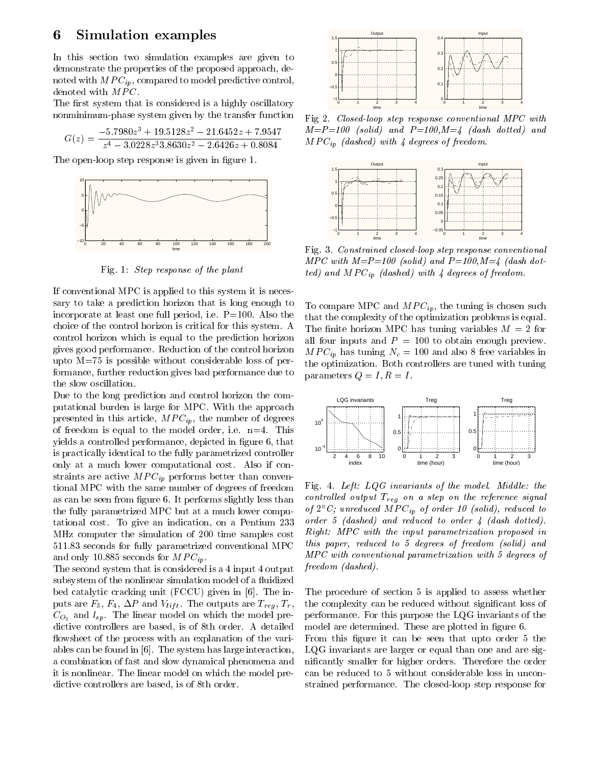#### Simulation examples 6

In this section two simulation examples are given to demonstrate the properties of the proposed approach, denoted with  $MPC_{in}$ , compared to model predictive control, denoted with MPC.

The first system that is considered is a highly oscillatory nonminimum-phase system given by the transfer function

$$
G(z) = \frac{-5.7980z^3 + 19.5128z^2 - 21.6452z + 7.9547}{z^4 - 3.0228z^33.8630z^2 - 2.6426z + 0.8084} \qquad M.
$$

The open-loop step response is given in figure 1.



Fig. 1: Step response of the plant

If conventional MPC is applied to this system it is necessary to take a prediction horizon that is long enough to incorporate at least one full period, i.e. P=100. Also the choice of the control horizon is critical for this system. A control horizon which is equal to the prediction horizon gives good performance. Reduction of the control horizon upto M=75 is possible without considerable loss of performance, further reduction gives bad performance due to the slow oscillation.

Due to the long prediction and control horizon the computational burden is large for MPC. With the approach presented in this article,  $MPC_{ip}$ , the number of degrees of freedom is equal to the model order, i.e.  $n=4$ . This yields a controlled performance, depicted in figure 6, that is practically identical to the fully parametrized controller only at a much lower computational cost. Also if con- $\mathbf{v}_i$ tional MPC with the same number of degrees of freedom as can be seen from figure 6. It performs slightly less than the fully parametrized MPC but at a much lower computational cost. To give an indication, on a Pentium 233 MHz computer the simulation of 200 time samples cost 511.83 seconds for fully parametrized conventional MPC and only 10.885 seconds for  $MPC_{ip}$ .

The second system that is considered is a 4 input 4 output subsystem of the nonlinear simulation model of a fluidized bed catalytic cracking unit (FCCU) given in [6]. The inputs are  $F_3$ ,  $F_4$ ,  $\Delta P$  and  $V_{lift}$ . The outputs are  $T_{reg}$ ,  $T_r$ ,  $C_{O_2}$  and  $l_{sp}$ . The linear model on which the model predictive controllers are based, is of 8th order. A detailed flowsheet of the process with an explanation of the variables can be found in [6]. The system has large interaction, a combination of fast and slow dynamical phenomena and it is nonlinear. The linear model on which the model predictive controllers are based, is of 8th order.



Fig 2. Closed-loop step response conventional MPC with  $M = P = 100$  (solid) and  $P = 100, M = 4$  (dash dotted) and MPCip (dashed) with 4 degrees of freedom.



Fig. 3. Constrained closed-loop step response conventional  $MPC$  with  $M=P=100$  (solid) and  $P=100, M=4$  (dash dotted) and MPCip (dashed) with 4 degrees of freedom.

To compare MPC and  $MPC_{ip}$ , the tuning is chosen such that the complexity of the optimization problems is equal. The finite horizon MPC has tuning variables  $M = 2$  for all four inputs and  $P = 100$  to obtain enough preview.  $\mathcal{M} = \{ \mathcal{M} \mid \mathcal{M} = \{ \mathcal{M} \mid \mathcal{M} = \mathcal{M} \}$  , we have a free variable intervalse in the set of  $\mathcal{M} = \{ \mathcal{M} \mid \mathcal{M} = \mathcal{M} \}$ the optimization. Both controllers are tuned with tuning parameters  $Q = I, R = I$ .



Fig. 4. Left:  $LQG$  invariants of the model. Middle: the control led output Treg on a step on the reference signal and the reference signal and the reference signal and of 2  $\cup$ ; unreduced MP $\cup$ <sub>ip</sub> of order 10 (solid), reduced to order 5 (dashed) and reduced to order 4 (dash dotted). Right: MPC with the input parametrization proposed in this paper, reduced to 5 degrees of freedom (solid) and MPC with conventional parametrization with 5 degrees of freedom (dashed).

The procedure of section 5 is applied to assess whether the complexity can be reduced without signicant loss of performance. For this purpose the LQG invariants of the model are determined. These are plotted in figure 6.

From this figure it can be seen that upto order 5 the LQG invariants are larger or equal than one and are signicantly smaller for higher orders. Therefore the order can be reduced to 5 without considerable loss in unconstrained performance. The closed-loop step response for